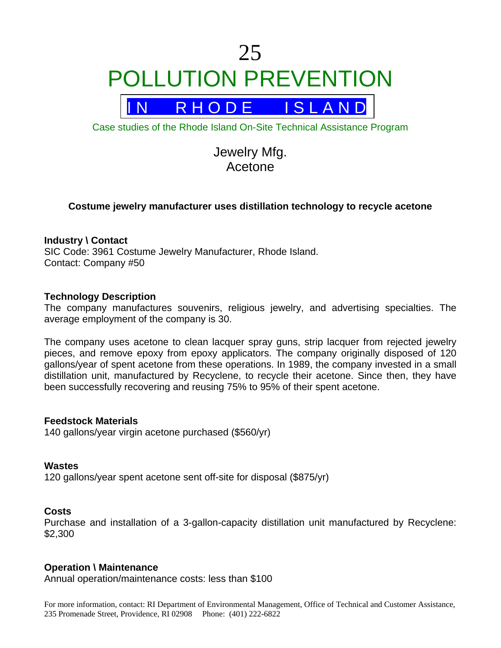# 25 POLLUTION PREVENTION



Case studies of the Rhode Island On-Site Technical Assistance Program

Jewelry Mfg. Acetone

# **Costume jewelry manufacturer uses distillation technology to recycle acetone**

### **Industry \ Contact**

SIC Code: 3961 Costume Jewelry Manufacturer, Rhode Island. Contact: Company #50

#### **Technology Description**

The company manufactures souvenirs, religious jewelry, and advertising specialties. The average employment of the company is 30.

The company uses acetone to clean lacquer spray guns, strip lacquer from rejected jewelry pieces, and remove epoxy from epoxy applicators. The company originally disposed of 120 gallons/year of spent acetone from these operations. In 1989, the company invested in a small distillation unit, manufactured by Recyclene, to recycle their acetone. Since then, they have been successfully recovering and reusing 75% to 95% of their spent acetone.

#### **Feedstock Materials**

140 gallons/year virgin acetone purchased (\$560/yr)

#### **Wastes**

120 gallons/year spent acetone sent off-site for disposal (\$875/yr)

#### **Costs**

Purchase and installation of a 3-gallon-capacity distillation unit manufactured by Recyclene: \$2,300

#### **Operation \ Maintenance**

Annual operation/maintenance costs: less than \$100